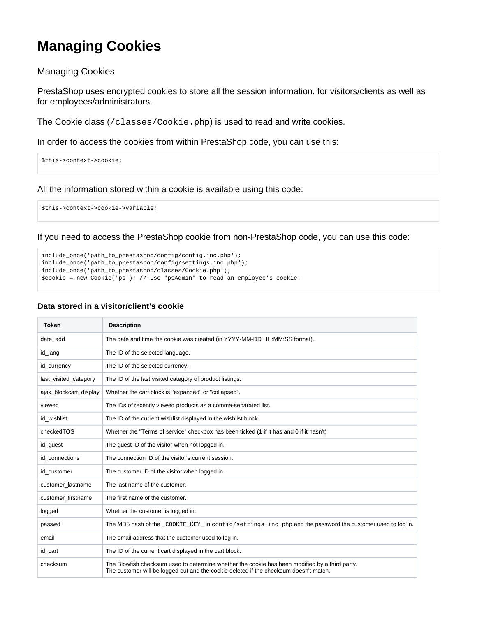## **Managing Cookies**

## Managing Cookies

PrestaShop uses encrypted cookies to store all the session information, for visitors/clients as well as for employees/administrators.

The Cookie class (/classes/Cookie.php) is used to read and write cookies.

In order to access the cookies from within PrestaShop code, you can use this:

```
$this->context->cookie;
```
All the information stored within a cookie is available using this code:

\$this->context->cookie->variable;

If you need to access the PrestaShop cookie from non-PrestaShop code, you can use this code:

```
include_once('path_to_prestashop/config/config.inc.php');
include_once('path_to_prestashop/config/settings.inc.php');
include_once('path_to_prestashop/classes/Cookie.php');
$cookie = new Cookie('ps'); // Use "psAdmin" to read an employee's cookie.
```
## **Data stored in a visitor/client's cookie**

| <b>Token</b>           | <b>Description</b>                                                                                                                                                                      |
|------------------------|-----------------------------------------------------------------------------------------------------------------------------------------------------------------------------------------|
| date add               | The date and time the cookie was created (in YYYY-MM-DD HH:MM:SS format).                                                                                                               |
| id_lang                | The ID of the selected language.                                                                                                                                                        |
| id currency            | The ID of the selected currency.                                                                                                                                                        |
| last_visited_category  | The ID of the last visited category of product listings.                                                                                                                                |
| ajax blockcart display | Whether the cart block is "expanded" or "collapsed".                                                                                                                                    |
| viewed                 | The IDs of recently viewed products as a comma-separated list.                                                                                                                          |
| id wishlist            | The ID of the current wishlist displayed in the wishlist block.                                                                                                                         |
| checkedTOS             | Whether the "Terms of service" checkbox has been ticked (1 if it has and 0 if it hasn't)                                                                                                |
| id_guest               | The guest ID of the visitor when not logged in.                                                                                                                                         |
| id connections         | The connection ID of the visitor's current session.                                                                                                                                     |
| id customer            | The customer ID of the visitor when logged in.                                                                                                                                          |
| customer lastname      | The last name of the customer.                                                                                                                                                          |
| customer firstname     | The first name of the customer.                                                                                                                                                         |
| logged                 | Whether the customer is logged in.                                                                                                                                                      |
| passwd                 | The MD5 hash of the _COOKIE_KEY_in config/settings.inc.php and the password the customer used to log in.                                                                                |
| email                  | The email address that the customer used to log in.                                                                                                                                     |
| id cart                | The ID of the current cart displayed in the cart block.                                                                                                                                 |
| checksum               | The Blowfish checksum used to determine whether the cookie has been modified by a third party.<br>The customer will be logged out and the cookie deleted if the checksum doesn't match. |